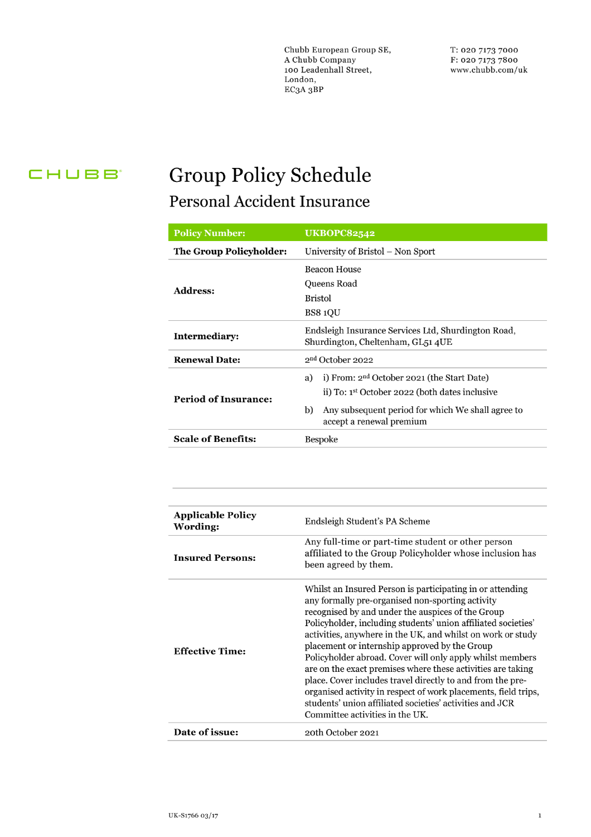Chubb European Group SE, A Chubb Company 100 Leadenhall Street, London, EC3A 3BP

T: 020 7173 7000 F: 020 7173 7800 www.chubb.com/uk

### CHUBB<sup>®</sup>

# **Group Policy Schedule** Personal Accident Insurance

| <b>Policy Number:</b>          | <b>UKBOPC82542</b>                                                                                                                                                                                      |  |  |
|--------------------------------|---------------------------------------------------------------------------------------------------------------------------------------------------------------------------------------------------------|--|--|
| <b>The Group Policyholder:</b> | University of Bristol – Non Sport                                                                                                                                                                       |  |  |
| <b>Address:</b>                | <b>Beacon House</b><br>Queens Road<br>Bristol<br>BS8 1QU                                                                                                                                                |  |  |
| <b>Intermediary:</b>           | Endsleigh Insurance Services Ltd, Shurdington Road,<br>Shurdington, Cheltenham, GL51 4UE                                                                                                                |  |  |
| <b>Renewal Date:</b>           | 2 <sup>nd</sup> October 2022                                                                                                                                                                            |  |  |
| <b>Period of Insurance:</b>    | i) From: $2nd October 2021$ (the Start Date)<br>a)<br>ii) To: 1 <sup>st</sup> October 2022 (both dates inclusive<br>Any subsequent period for which We shall agree to<br>b)<br>accept a renewal premium |  |  |
| <b>Scale of Benefits:</b>      | <b>Bespoke</b>                                                                                                                                                                                          |  |  |

| <b>Applicable Policy</b><br>Wording: | Endsleigh Student's PA Scheme                                                                                                                                                                                                                                                                                                                                                                                                                                                                                                                                                                                                                                                                                  |  |
|--------------------------------------|----------------------------------------------------------------------------------------------------------------------------------------------------------------------------------------------------------------------------------------------------------------------------------------------------------------------------------------------------------------------------------------------------------------------------------------------------------------------------------------------------------------------------------------------------------------------------------------------------------------------------------------------------------------------------------------------------------------|--|
| <b>Insured Persons:</b>              | Any full-time or part-time student or other person<br>affiliated to the Group Policyholder whose inclusion has<br>been agreed by them.                                                                                                                                                                                                                                                                                                                                                                                                                                                                                                                                                                         |  |
| <b>Effective Time:</b>               | Whilst an Insured Person is participating in or attending<br>any formally pre-organised non-sporting activity<br>recognised by and under the auspices of the Group<br>Policyholder, including students' union affiliated societies'<br>activities, anywhere in the UK, and whilst on work or study<br>placement or internship approved by the Group<br>Policyholder abroad. Cover will only apply whilst members<br>are on the exact premises where these activities are taking<br>place. Cover includes travel directly to and from the pre-<br>organised activity in respect of work placements, field trips,<br>students' union affiliated societies' activities and JCR<br>Committee activities in the UK. |  |
| Date of issue:                       | 20th October 2021                                                                                                                                                                                                                                                                                                                                                                                                                                                                                                                                                                                                                                                                                              |  |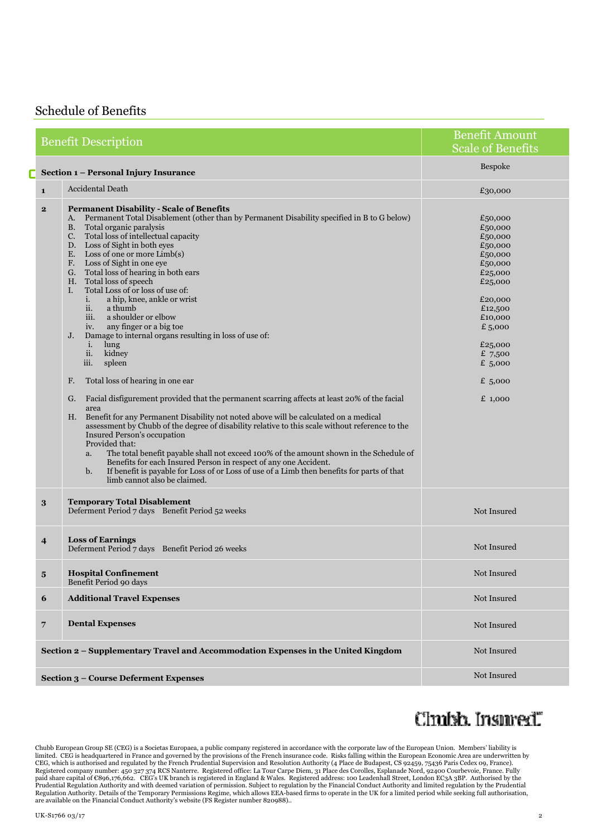### Schedule of Benefits

|   |                                                                                   | <b>Benefit Description</b>                                                                                                                                                                                                                                                                                                                                                                                                                                                                                                                                                                                                                                                                                                                                                                                                                                                                                                                                                                                                                                                                                                                                                                                                                                                                                                                                                                                                         | <b>Benefit Amount</b><br><b>Scale of Benefits</b>                                                                                                                                         |
|---|-----------------------------------------------------------------------------------|------------------------------------------------------------------------------------------------------------------------------------------------------------------------------------------------------------------------------------------------------------------------------------------------------------------------------------------------------------------------------------------------------------------------------------------------------------------------------------------------------------------------------------------------------------------------------------------------------------------------------------------------------------------------------------------------------------------------------------------------------------------------------------------------------------------------------------------------------------------------------------------------------------------------------------------------------------------------------------------------------------------------------------------------------------------------------------------------------------------------------------------------------------------------------------------------------------------------------------------------------------------------------------------------------------------------------------------------------------------------------------------------------------------------------------|-------------------------------------------------------------------------------------------------------------------------------------------------------------------------------------------|
| Г |                                                                                   | Section 1 - Personal Injury Insurance                                                                                                                                                                                                                                                                                                                                                                                                                                                                                                                                                                                                                                                                                                                                                                                                                                                                                                                                                                                                                                                                                                                                                                                                                                                                                                                                                                                              | Bespoke                                                                                                                                                                                   |
|   | $\mathbf{1}$                                                                      | <b>Accidental Death</b>                                                                                                                                                                                                                                                                                                                                                                                                                                                                                                                                                                                                                                                                                                                                                                                                                                                                                                                                                                                                                                                                                                                                                                                                                                                                                                                                                                                                            | £30,000                                                                                                                                                                                   |
|   | $\mathbf{2}$                                                                      | <b>Permanent Disability - Scale of Benefits</b><br>A. Permanent Total Disablement (other than by Permanent Disability specified in B to G below)<br>Total organic paralysis<br><b>B.</b><br>C. Total loss of intellectual capacity<br>D. Loss of Sight in both eyes<br>E. Loss of one or more $Limb(s)$<br>F. Loss of Sight in one eye<br>G. Total loss of hearing in both ears<br>H. Total loss of speech<br>I.<br>Total Loss of or loss of use of:<br>a hip, knee, ankle or wrist<br>i.<br>a thumb<br>ii.<br>a shoulder or elbow<br>iii.<br>any finger or a big toe<br>iv.<br>Damage to internal organs resulting in loss of use of:<br>J.<br>lung<br>i.<br>kidney<br>ii.<br>spleen<br>iii.<br>Total loss of hearing in one ear<br>F.<br>Facial disfigurement provided that the permanent scarring affects at least 20% of the facial<br>G.<br>area<br>Benefit for any Permanent Disability not noted above will be calculated on a medical<br>Н.<br>assessment by Chubb of the degree of disability relative to this scale without reference to the<br><b>Insured Person's occupation</b><br>Provided that:<br>The total benefit payable shall not exceed 100% of the amount shown in the Schedule of<br>a.<br>Benefits for each Insured Person in respect of any one Accident.<br>If benefit is payable for Loss of or Loss of use of a Limb then benefits for parts of that<br>$\mathbf{b}$ .<br>limb cannot also be claimed. | £50,000<br>£50,000<br>£50,000<br>£50,000<br>£50,000<br>£50,000<br>£25,000<br>£25,000<br>£20,000<br>£12,500<br>£10,000<br>£5,000<br>£25,000<br>£ $7,500$<br>$£$ 5,000<br>£ 5,000<br>£1,000 |
|   | 3                                                                                 | <b>Temporary Total Disablement</b><br>Deferment Period 7 days Benefit Period 52 weeks                                                                                                                                                                                                                                                                                                                                                                                                                                                                                                                                                                                                                                                                                                                                                                                                                                                                                                                                                                                                                                                                                                                                                                                                                                                                                                                                              | Not Insured                                                                                                                                                                               |
|   | $\overline{4}$                                                                    | <b>Loss of Earnings</b><br>Deferment Period 7 days Benefit Period 26 weeks                                                                                                                                                                                                                                                                                                                                                                                                                                                                                                                                                                                                                                                                                                                                                                                                                                                                                                                                                                                                                                                                                                                                                                                                                                                                                                                                                         | Not Insured                                                                                                                                                                               |
|   | ${\bf 5}$                                                                         | <b>Hospital Confinement</b><br>Benefit Period 90 days                                                                                                                                                                                                                                                                                                                                                                                                                                                                                                                                                                                                                                                                                                                                                                                                                                                                                                                                                                                                                                                                                                                                                                                                                                                                                                                                                                              | Not Insured                                                                                                                                                                               |
|   | 6                                                                                 | <b>Additional Travel Expenses</b>                                                                                                                                                                                                                                                                                                                                                                                                                                                                                                                                                                                                                                                                                                                                                                                                                                                                                                                                                                                                                                                                                                                                                                                                                                                                                                                                                                                                  | Not Insured                                                                                                                                                                               |
|   | $\overline{7}$                                                                    | <b>Dental Expenses</b>                                                                                                                                                                                                                                                                                                                                                                                                                                                                                                                                                                                                                                                                                                                                                                                                                                                                                                                                                                                                                                                                                                                                                                                                                                                                                                                                                                                                             | Not Insured                                                                                                                                                                               |
|   | Section 2 – Supplementary Travel and Accommodation Expenses in the United Kingdom |                                                                                                                                                                                                                                                                                                                                                                                                                                                                                                                                                                                                                                                                                                                                                                                                                                                                                                                                                                                                                                                                                                                                                                                                                                                                                                                                                                                                                                    | Not Insured                                                                                                                                                                               |
|   |                                                                                   | <b>Section 3 - Course Deferment Expenses</b>                                                                                                                                                                                                                                                                                                                                                                                                                                                                                                                                                                                                                                                                                                                                                                                                                                                                                                                                                                                                                                                                                                                                                                                                                                                                                                                                                                                       | Not Insured                                                                                                                                                                               |

## Clmish Insured"

Chubb European Group SE (CEG) is a Societas Europaea, a public company registered in accordance with the corporate law of the European Union. Members' liability is<br>limited. CEG is headquartered in France and governed by th